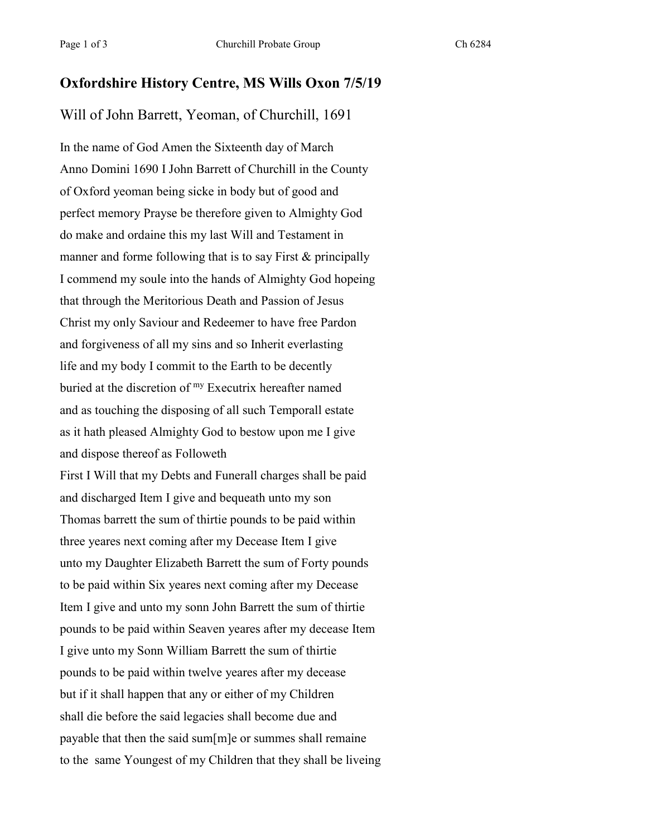## **Oxfordshire History Centre, MS Wills Oxon 7/5/19**

## Will of John Barrett, Yeoman, of Churchill, 1691

In the name of God Amen the Sixteenth day of March Anno Domini 1690 I John Barrett of Churchill in the County of Oxford yeoman being sicke in body but of good and perfect memory Prayse be therefore given to Almighty God do make and ordaine this my last Will and Testament in manner and forme following that is to say First & principally I commend my soule into the hands of Almighty God hopeing that through the Meritorious Death and Passion of Jesus Christ my only Saviour and Redeemer to have free Pardon and forgiveness of all my sins and so Inherit everlasting life and my body I commit to the Earth to be decently buried at the discretion of my Executrix hereafter named and as touching the disposing of all such Temporall estate as it hath pleased Almighty God to bestow upon me I give and dispose thereof as Followeth First I Will that my Debts and Funerall charges shall be paid and discharged Item I give and bequeath unto my son Thomas barrett the sum of thirtie pounds to be paid within three yeares next coming after my Decease Item I give unto my Daughter Elizabeth Barrett the sum of Forty pounds to be paid within Six yeares next coming after my Decease Item I give and unto my sonn John Barrett the sum of thirtie pounds to be paid within Seaven yeares after my decease Item I give unto my Sonn William Barrett the sum of thirtie pounds to be paid within twelve yeares after my decease but if it shall happen that any or either of my Children shall die before the said legacies shall become due and payable that then the said sum[m]e or summes shall remaine to the same Youngest of my Children that they shall be liveing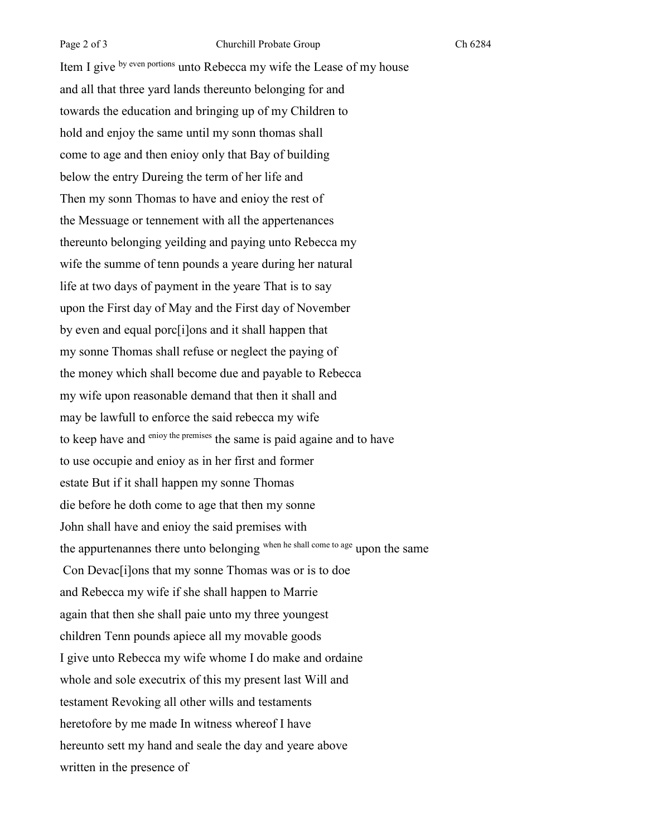Item I give by even portions unto Rebecca my wife the Lease of my house and all that three yard lands thereunto belonging for and towards the education and bringing up of my Children to hold and enjoy the same until my sonn thomas shall come to age and then enioy only that Bay of building below the entry Dureing the term of her life and Then my sonn Thomas to have and enioy the rest of the Messuage or tennement with all the appertenances thereunto belonging yeilding and paying unto Rebecca my wife the summe of tenn pounds a yeare during her natural life at two days of payment in the yeare That is to say upon the First day of May and the First day of November by even and equal porc[i]ons and it shall happen that my sonne Thomas shall refuse or neglect the paying of the money which shall become due and payable to Rebecca my wife upon reasonable demand that then it shall and may be lawfull to enforce the said rebecca my wife to keep have and enioy the premises the same is paid againe and to have to use occupie and enioy as in her first and former estate But if it shall happen my sonne Thomas die before he doth come to age that then my sonne John shall have and enioy the said premises with the appurtenannes there unto belonging when he shall come to age upon the same Con Devac[i]ons that my sonne Thomas was or is to doe and Rebecca my wife if she shall happen to Marrie again that then she shall paie unto my three youngest children Tenn pounds apiece all my movable goods I give unto Rebecca my wife whome I do make and ordaine whole and sole executrix of this my present last Will and testament Revoking all other wills and testaments heretofore by me made In witness whereof I have hereunto sett my hand and seale the day and yeare above written in the presence of